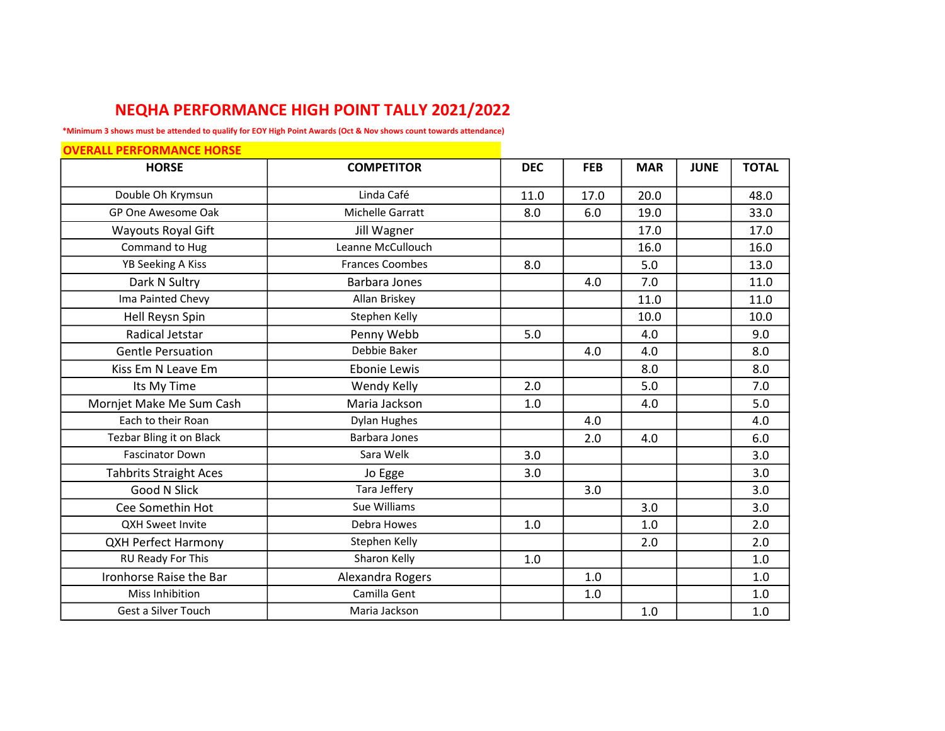## NEQHA PERFORMANCE HIGH POINT TALLY 2021/2022

\*Minimum 3 shows must be attended to qualify for EOY High Point Awards (Oct & Nov shows count towards attendance)

| <b>OVERALL PERFORMANCE HORSE</b> |                        |            |            |            |             |              |
|----------------------------------|------------------------|------------|------------|------------|-------------|--------------|
| <b>HORSE</b>                     | <b>COMPETITOR</b>      | <b>DEC</b> | <b>FEB</b> | <b>MAR</b> | <b>JUNE</b> | <b>TOTAL</b> |
| Double Oh Krymsun                | Linda Café             | 11.0       | 17.0       | 20.0       |             | 48.0         |
| GP One Awesome Oak               | Michelle Garratt       | 8.0        | 6.0        | 19.0       |             | 33.0         |
| Wayouts Royal Gift               | Jill Wagner            |            |            | 17.0       |             | 17.0         |
| Command to Hug                   | Leanne McCullouch      |            |            | 16.0       |             | 16.0         |
| <b>YB Seeking A Kiss</b>         | <b>Frances Coombes</b> | 8.0        |            | 5.0        |             | 13.0         |
| Dark N Sultry                    | Barbara Jones          |            | 4.0        | 7.0        |             | 11.0         |
| Ima Painted Chevy                | Allan Briskey          |            |            | 11.0       |             | 11.0         |
| Hell Reysn Spin                  | Stephen Kelly          |            |            | 10.0       |             | 10.0         |
| Radical Jetstar                  | Penny Webb             | 5.0        |            | 4.0        |             | 9.0          |
| <b>Gentle Persuation</b>         | Debbie Baker           |            | 4.0        | 4.0        |             | 8.0          |
| Kiss Em N Leave Em               | <b>Ebonie Lewis</b>    |            |            | 8.0        |             | 8.0          |
| Its My Time                      | Wendy Kelly            | 2.0        |            | 5.0        |             | 7.0          |
| Mornjet Make Me Sum Cash         | Maria Jackson          | 1.0        |            | 4.0        |             | 5.0          |
| Each to their Roan               | Dylan Hughes           |            | 4.0        |            |             | 4.0          |
| Tezbar Bling it on Black         | <b>Barbara Jones</b>   |            | 2.0        | 4.0        |             | 6.0          |
| <b>Fascinator Down</b>           | Sara Welk              | 3.0        |            |            |             | 3.0          |
| <b>Tahbrits Straight Aces</b>    | Jo Egge                | 3.0        |            |            |             | 3.0          |
| <b>Good N Slick</b>              | Tara Jeffery           |            | 3.0        |            |             | 3.0          |
| Cee Somethin Hot                 | Sue Williams           |            |            | 3.0        |             | 3.0          |
| <b>QXH Sweet Invite</b>          | Debra Howes            | 1.0        |            | 1.0        |             | 2.0          |
| <b>QXH Perfect Harmony</b>       | Stephen Kelly          |            |            | 2.0        |             | 2.0          |
| RU Ready For This                | Sharon Kelly           | 1.0        |            |            |             | 1.0          |
| Ironhorse Raise the Bar          | Alexandra Rogers       |            | 1.0        |            |             | 1.0          |
| Miss Inhibition                  | Camilla Gent           |            | 1.0        |            |             | 1.0          |
| Gest a Silver Touch              | Maria Jackson          |            |            | 1.0        |             | $1.0$        |